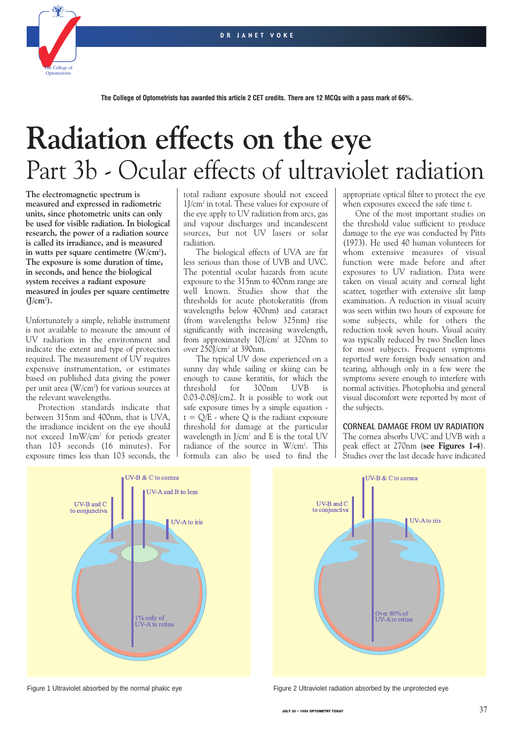

# **Radiation effects on the eye** Part 3b - Ocular effects of ultraviolet radiation

**The electromagnetic spectrum is measured and expressed in radiometric units, since photometric units can only be used for visible radiation. In biological research, the power of a radiation source is called its irradiance, and is measured in watts per square centimetre (W/cm2 ). The exposure is some duration of time, in seconds, and hence the biological system receives a radiant exposure measured in joules per square centimetre**  $(J/cm<sup>2</sup>)$ .

Unfortunately a simple, reliable instrument is not available to measure the amount of UV radiation in the environment and indicate the extent and type of protection required. The measurement of UV requires expensive instrumentation, or estimates based on published data giving the power per unit area (W/cm<sup>2</sup>) for various sources at the relevant wavelengths.

Protection standards indicate that between 315nm and 400nm, that is UVA, the irradiance incident on the eye should not exceed 1mW/cm2 for periods greater than 103 seconds (16 minutes). For exposure times less than 103 seconds, the

total radiant exposure should not exceed 1J/cm2 in total. These values for exposure of the eye apply to UV radiation from arcs, gas and vapour discharges and incandescent sources, but not UV lasers or solar radiation.

The biological effects of UVA are far less serious than those of UVB and UVC. The potential ocular hazards from acute exposure to the 315nm to 400nm range are well known. Studies show that the thresholds for acute photokeratitis (from wavelengths below 400nm) and cataract (from wavelengths below 325nm) rise significantly with increasing wavelength, from approximately  $10$ ]/cm<sup>2</sup> at 320nm to over 250J/cm2 at 390nm.

The typical UV dose experienced on a sunny day while sailing or skiing can be enough to cause keratitis, for which the threshold for 300nm UVB is 0.03-0.08J/cm2. It is possible to work out safe exposure times by a simple equation  $t = Q/E$  - where Q is the radiant exposure threshold for damage at the particular wavelength in J/cm2 and E is the total UV radiance of the source in W/cm<sup>2</sup>. This formula can also be used to find the appropriate optical filter to protect the eye when exposures exceed the safe time t.

One of the most important studies on the threshold value sufficient to produce damage to the eye was conducted by Pitts (1973). He used 40 human volunteers for whom extensive measures of visual function were made before and after exposures to UV radiation. Data were taken on visual acuity and corneal light scatter, together with extensive slit lamp examination. A reduction in visual acuity was seen within two hours of exposure for some subjects, while for others the reduction took seven hours. Visual acuity was typically reduced by two Snellen lines for most subjects. Frequent symptoms reported were foreign body sensation and tearing, although only in a few were the symptoms severe enough to interfere with normal activities. Photophobia and general visual discomfort were reported by most of the subjects.

#### **CORNEAL DAMAGE FROM UV RADIATION**

The cornea absorbs UVC and UVB with a peak effect at 270nm (**see Figures 1-4**). Studies over the last decade have indicated





Figure 1 Ultraviolet absorbed by the normal phakic eye Figure 2 Ultraviolet radiation absorbed by the unprotected eye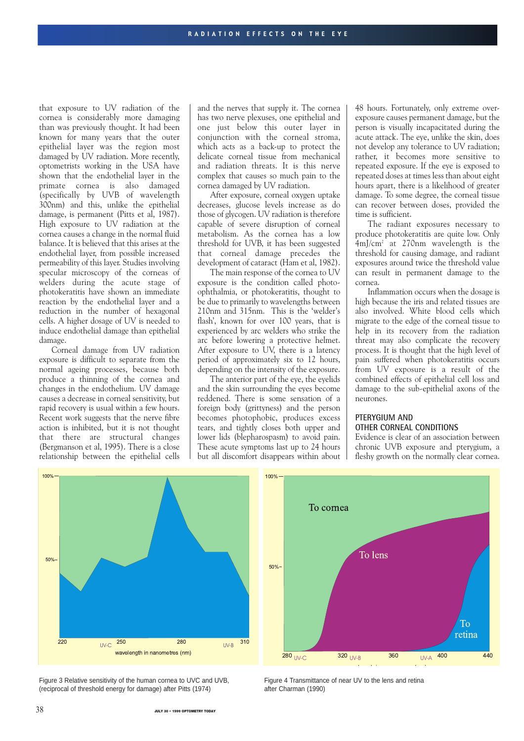that exposure to UV radiation of the cornea is considerably more damaging than was previously thought. It had been known for many years that the outer epithelial layer was the region most damaged by UV radiation. More recently, optometrists working in the USA have shown that the endothelial layer in the primate cornea is also damaged (specifically by UVB of wavelength 300nm) and this, unlike the epithelial damage, is permanent (Pitts et al, 1987). High exposure to UV radiation at the cornea causes a change in the normal fluid balance. It is believed that this arises at the endothelial layer, from possible increased permeability of this layer. Studies involving specular microscopy of the corneas of welders during the acute stage of photokeratitis have shown an immediate reaction by the endothelial layer and a reduction in the number of hexagonal cells. A higher dosage of UV is needed to induce endothelial damage than epithelial damage.

Corneal damage from UV radiation exposure is difficult to separate from the normal ageing processes, because both produce a thinning of the cornea and changes in the endothelium. UV damage causes a decrease in corneal sensitivity, but rapid recovery is usual within a few hours. Recent work suggests that the nerve fibre action is inhibited, but it is not thought that there are structural changes (Bergmanson et al, 1995). There is a close relationship between the epithelial cells

and the nerves that supply it. The cornea has two nerve plexuses, one epithelial and one just below this outer layer in conjunction with the corneal stroma, which acts as a back-up to protect the delicate corneal tissue from mechanical and radiation threats. It is this nerve complex that causes so much pain to the cornea damaged by UV radiation.

After exposure, corneal oxygen uptake decreases, glucose levels increase as do those of glycogen. UV radiation is therefore capable of severe disruption of corneal metabolism. As the cornea has a low threshold for UVB, it has been suggested that corneal damage precedes the development of cataract (Ham et al, 1982).

The main response of the cornea to UV exposure is the condition called photoophthalmia, or photokeratitis, thought to be due to primarily to wavelengths between 210nm and 315nm. This is the 'welder's flash', known for over 100 years, that is experienced by arc welders who strike the arc before lowering a protective helmet. After exposure to UV, there is a latency period of approximately six to 12 hours, depending on the intensity of the exposure.

The anterior part of the eye, the eyelids and the skin surrounding the eyes become reddened. There is some sensation of a foreign body (grittyness) and the person becomes photophobic, produces excess tears, and tightly closes both upper and lower lids (blepharospasm) to avoid pain. These acute symptoms last up to 24 hours but all discomfort disappears within about

48 hours. Fortunately, only extreme overexposure causes permanent damage, but the person is visually incapacitated during the acute attack. The eye, unlike the skin, does not develop any tolerance to UV radiation; rather, it becomes more sensitive to repeated exposure. If the eye is exposed to repeated doses at times less than about eight hours apart, there is a likelihood of greater damage. To some degree, the corneal tissue can recover between doses, provided the time is sufficient.

The radiant exposures necessary to produce photokeratitis are quite low. Only 4mJ/cm2 at 270nm wavelength is the threshold for causing damage, and radiant exposures around twice the threshold value can result in permanent damage to the cornea.

Inflammation occurs when the dosage is high because the iris and related tissues are also involved. White blood cells which migrate to the edge of the corneal tissue to help in its recovery from the radiation threat may also complicate the recovery process. It is thought that the high level of pain suffered when photokeratitis occurs from UV exposure is a result of the combined effects of epithelial cell loss and damage to the sub-epithelial axons of the neurones.

# **PTERYGIUM AND**

# **OTHER CORNEAL CONDITIONS**

Evidence is clear of an association between chronic UVB exposure and pterygium, a fleshy growth on the normally clear cornea.



Figure 3 Relative sensitivity of the human cornea to UVC and UVB, (reciprocal of threshold energy for damage) after Pitts (1974)



Figure 4 Transmittance of near UV to the lens and retina after Charman (1990)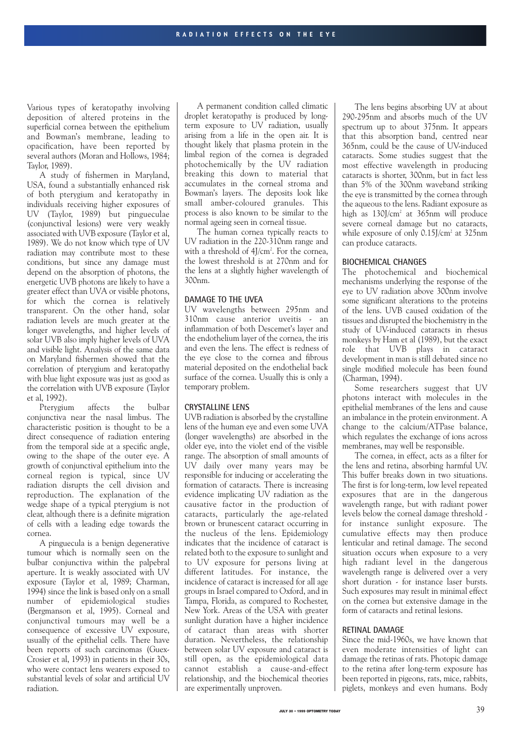Various types of keratopathy involving deposition of altered proteins in the superficial cornea between the epithelium and Bowman's membrane, leading to opacification, have been reported by several authors (Moran and Hollows, 1984; Taylor, 1989).

A study of fishermen in Maryland, USA, found a substantially enhanced risk of both pterygium and keratopathy in individuals receiving higher exposures of UV (Taylor, 1989) but pingueculae (conjunctival lesions) were very weakly associated with UVB exposure (Taylor et al, 1989). We do not know which type of UV radiation may contribute most to these conditions, but since any damage must depend on the absorption of photons, the energetic UVB photons are likely to have a greater effect than UVA or visible photons, for which the cornea is relatively transparent. On the other hand, solar radiation levels are much greater at the longer wavelengths, and higher levels of solar UVB also imply higher levels of UVA and visible light. Analysis of the same data on Maryland fishermen showed that the correlation of pterygium and keratopathy with blue light exposure was just as good as the correlation with UVB exposure (Taylor et al, 1992).

Pterygium affects the bulbar conjunctiva near the nasal limbus. The characteristic position is thought to be a direct consequence of radiation entering from the temporal side at a specific angle, owing to the shape of the outer eye. A growth of conjunctival epithelium into the corneal region is typical, since UV radiation disrupts the cell division and reproduction. The explanation of the wedge shape of a typical pterygium is not clear, although there is a definite migration of cells with a leading edge towards the cornea.

A pinguecula is a benign degenerative tumour which is normally seen on the bulbar conjunctiva within the palpebral aperture. It is weakly associated with UV exposure (Taylor et al, 1989; Charman, 1994) since the link is based only on a small number of epidemiological studies (Bergmanson et al, 1995). Corneal and conjunctival tumours may well be a consequence of excessive UV exposure, usually of the epithelial cells. There have been reports of such carcinomas (Guex-Crosier et al, 1993) in patients in their 30s, who were contact lens wearers exposed to substantial levels of solar and artificial UV radiation.

A permanent condition called climatic droplet keratopathy is produced by longterm exposure to UV radiation, usually arising from a life in the open air. It is thought likely that plasma protein in the limbal region of the cornea is degraded photochemically by the UV radiation breaking this down to material that accumulates in the corneal stroma and Bowman's layers. The deposits look like small amber-coloured granules. This process is also known to be similar to the normal ageing seen in corneal tissue.

The human cornea typically reacts to UV radiation in the 220-310nm range and with a threshold of 4J/cm². For the cornea, the lowest threshold is at 270nm and for the lens at a slightly higher wavelength of 300nm.

# **DAMAGE TO THE UVEA**

UV wavelengths between 295nm and 310nm cause anterior uveitis - an inflammation of both Descemet's layer and the endothelium layer of the cornea, the iris and even the lens. The effect is redness of the eye close to the cornea and fibrous material deposited on the endothelial back surface of the cornea. Usually this is only a temporary problem.

#### **CRYSTALLINE LENS**

UVB radiation is absorbed by the crystalline lens of the human eye and even some UVA (longer wavelengths) are absorbed in the older eye, into the violet end of the visible range. The absorption of small amounts of UV daily over many years may be responsible for inducing or accelerating the formation of cataracts. There is increasing evidence implicating UV radiation as the causative factor in the production of cataracts, particularly the age-related brown or brunescent cataract occurring in the nucleus of the lens. Epidemiology indicates that the incidence of cataract is related both to the exposure to sunlight and to UV exposure for persons living at different latitudes. For instance, the incidence of cataract is increased for all age groups in Israel compared to Oxford, and in Tampa, Florida, as compared to Rochester, New York. Areas of the USA with greater sunlight duration have a higher incidence of cataract than areas with shorter duration. Nevertheless, the relationship between solar UV exposure and cataract is still open, as the epidemiological data cannot establish a cause-and-effect relationship, and the biochemical theories are experimentally unproven.

The lens begins absorbing UV at about 290-295nm and absorbs much of the UV spectrum up to about 375nm. It appears that this absorption band, centred near 365nm, could be the cause of UV-induced cataracts. Some studies suggest that the most effective wavelength in producing cataracts is shorter, 300nm, but in fact less than 5% of the 300nm waveband striking the eye is transmitted by the cornea through the aqueous to the lens. Radiant exposure as high as  $130$ /cm<sup>2</sup> at  $365$ nm will produce severe corneal damage but no cataracts, while exposure of only 0.15J/cm<sup>2</sup> at 325nm can produce cataracts.

#### **BIOCHEMICAL CHANGES**

The photochemical and biochemical mechanisms underlying the response of the eye to UV radiation above 300nm involve some significant alterations to the proteins of the lens. UVB caused oxidation of the tissues and disrupted the biochemistry in the study of UV-induced cataracts in rhesus monkeys by Ham et al (1989), but the exact role that UVB plays in cataract development in man is still debated since no single modified molecule has been found (Charman, 1994).

Some researchers suggest that UV photons interact with molecules in the epithelial membranes of the lens and cause an imbalance in the protein environment. A change to the calcium/ATPase balance, which regulates the exchange of ions across membranes, may well be responsible.

The cornea, in effect, acts as a filter for the lens and retina, absorbing harmful UV. This buffer breaks down in two situations. The first is for long-term, low level repeated exposures that are in the dangerous wavelength range, but with radiant power levels below the corneal damage threshold for instance sunlight exposure. The cumulative effects may then produce lenticular and retinal damage. The second situation occurs when exposure to a very high radiant level in the dangerous wavelength range is delivered over a very short duration - for instance laser bursts. Such exposures may result in minimal effect on the cornea but extensive damage in the form of cataracts and retinal lesions.

# **RETINAL DAMAGE**

Since the mid-1960s, we have known that even moderate intensities of light can damage the retinas of rats. Photopic damage to the retina after long-term exposure has been reported in pigeons, rats, mice, rabbits, piglets, monkeys and even humans. Body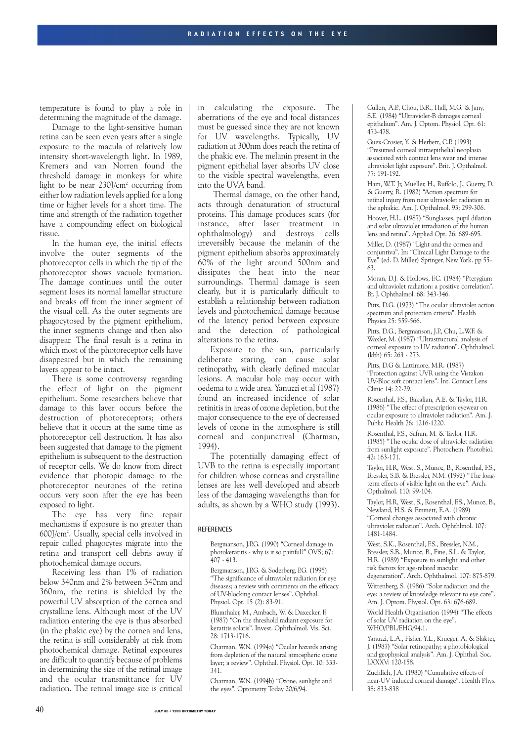temperature is found to play a role in determining the magnitude of the damage.

Damage to the light-sensitive human retina can be seen even years after a single exposure to the macula of relatively low intensity short-wavelength light. In 1989, Kremers and van Norren found the threshold damage in monkeys for white light to be near  $230$ ]/cm<sup>2</sup> occurring from either low radiation levels applied for a long time or higher levels for a short time. The time and strength of the radiation together have a compounding effect on biological tissue.

In the human eye, the initial effects involve the outer segments of the photoreceptor cells in which the tip of the photoreceptor shows vacuole formation. The damage continues until the outer segment loses its normal lamellar structure and breaks off from the inner segment of the visual cell. As the outer segments are phagocytosed by the pigment epithelium, the inner segments change and then also disappear. The final result is a retina in which most of the photoreceptor cells have disappeared but in which the remaining layers appear to be intact.

There is some controversy regarding the effect of light on the pigment epithelium. Some researchers believe that damage to this layer occurs before the destruction of photoreceptors; others believe that it occurs at the same time as photoreceptor cell destruction. It has also been suggested that damage to the pigment epithelium is subsequent to the destruction of receptor cells. We do know from direct evidence that photopic damage to the photoreceptor neurones of the retina occurs very soon after the eye has been exposed to light.

The eye has very fine repair mechanisms if exposure is no greater than 600J/cm2 . Usually, special cells involved in repair called phagocytes migrate into the retina and transport cell debris away if photochemical damage occurs.

Receiving less than 1% of radiation below 340nm and 2% between 340nm and 360nm, the retina is shielded by the powerful UV absorption of the cornea and crystalline lens. Although most of the UV radiation entering the eye is thus absorbed (in the phakic eye) by the cornea and lens, the retina is still considerably at risk from photochemical damage. Retinal exposures are difficult to quantify because of problems in determining the size of the retinal image and the ocular transmittance for UV radiation. The retinal image size is critical in calculating the exposure. The aberrations of the eye and focal distances must be guessed since they are not known for UV wavelengths. Typically, UV radiation at 300nm does reach the retina of the phakic eye. The melanin present in the pigment epithelial layer absorbs UV close to the visible spectral wavelengths, even into the UVA band.

Thermal damage, on the other hand, acts through denaturation of structural proteins. This damage produces scars (for instance, after laser treatment in ophthalmology) and destroys cells irreversibly because the melanin of the pigment epithelium absorbs approximately 60% of the light around 500nm and dissipates the heat into the near surroundings. Thermal damage is seen clearly, but it is particularly difficult to establish a relationship between radiation levels and photochemical damage because of the latency period between exposure and the detection of pathological alterations to the retina.

Exposure to the sun, particularly deliberate staring, can cause solar retinopathy, with clearly defined macular lesions. A macular hole may occur with oedema to a wide area. Yanuzzi et al (1987) found an increased incidence of solar retinitis in areas of ozone depletion, but the major consequence to the eye of decreased levels of ozone in the atmosphere is still corneal and conjunctival (Charman, 1994).

The potentially damaging effect of UVB to the retina is especially important for children whose corneas and crystalline lenses are less well developed and absorb less of the damaging wavelengths than for adults, as shown by a WHO study (1993).

#### **REFERENCES**

Bergmanson, J.P.G. (1990) "Corneal damage in photokeratitis - why is it so painful?" OVS; 67:  $407 - 413$ .

Bergmanson, J.P.G. & Soderberg, P.G. (1995) "The significance of ultraviolet radiation for eye diseases; a review with comments on the efficacy of UV-blocking contact lenses". Ophthal. Physiol. Opt. 15 (2): 83-91.

Blumthaler, M., Ambach, W. & Daxecker, F. (1987) "On the threshold radiant exposure for keratitis solaris". Invest. Ophthalmol. Vis. Sci. 28: 1713-1716.

Charman, W.N. (1994a) "Ocular hazards arising from depletion of the natural atmospheric ozone layer; a review". Ophthal. Physiol. Opt. 10: 333- 341.

Charman, W.N. (1994b) "Ozone, sunlight and the eyes". Optometry Today 20/6/94.

Cullen, A.P., Chou, B.R., Hall, M.G. & Jany, S.E. (1984) "Ultraviolet-B damages corneal epithelium". Am. J. Optom. Physiol. Opt. 61: 473-478.

Guex-Crosier, Y. & Herbert, C.P. (1993) "Presumed corneal intraepithelial neoplasia associated with contact lens wear and intense ultraviolet light exposure". Brit. J. Opthalmol. 77: 191-192.

Ham, W.T. Jr, Mueller, H., Ruffolo, J., Guerry, D. & Guerry, R. (1982) "Action spectrum for retinal injury from near ultraviolet radiation in the aphakic. Am. J. Opthalmol. 93: 299-306. Hoover, H.L. (1987) "Sunglasses, pupil dilation and solar ultraviolet irrradiation of the human lens and retina". Applied Opt. 26: 689-695.

Miller, D. (1987) "Light and the cornea and conjuntiva". In: "Clinical Light Damage to the Eye" (ed. D. Miller) Springer, New York. pp 55- 63.

Moran, D.J. & Hollows, F.C. (1984) "Pterygium and ultraviolet radiation: a positive correlation". Br. J. Ophthalmol. 68: 343-346.

Pitts, D.G. (1973) "The ocular ultraviolet action spectrum and protection criteria". Health Physics 25: 559-566.

Pitts, D.G., Bergmanson, J.P., Chu, L.W.F. & Waxler, M. (1987) "Ultrastructural analysis of corneal exposure to UV radiation". Ophthalmol. (kbh) 65: 263 - 273.

Pitts, D.G & Lattimore, M.R. (1987) "Protection against UVR using the Vistakon UV-Bloc soft contact lens". Int. Contact Lens Clinic 14: 22-29.

Rosenthal, F.S., Bakalian, A.E. & Taylor, H.R. (1986) "The effect of prescription eyewear on ocular exposure to ultraviolet radiation". Am. J. Public Health 76: 1216-1220.

Rosenthal, F.S., Safran, M. & Taylor, H.R. (1985) "The ocular dose of ultraviolet radiation from sunlight exposure". Photochem. Photobiol. 42: 163-171.

Taylor, H.R, West, S., Munoz, B., Rosenthal, F.S., Bressler, S.B. & Bressler, N.M. (1992) "The longterm effects of visible light on the eye". Arch. Opthalmol. 110: 99-104.

Taylor, H.R, West, S., Rosenthal, F.S., Munoz, B., Newland, H.S. & Emmett, E.A. (1989) "Corneal changes associated with chronic ultraviolet radiation". Arch. Ophthlmol. 107: 1481-1484.

West, S.K., Rosenthal, F.S., Bressler, N.M., Bressler, S.B., Munoz, B., Fine, S.L. & Taylor, H.R. (1989) "Exposure to sunlight and other risk factors for age-related macular degeneration". Arch. Ophthalmol. 107: 875-879. Wittenberg, S. (1986) "Solar radiation and the

eye: a review of knowledge relevant to eye care". Am. J. Optom. Physiol. Opt. 63: 676-689. World Health Organisation (1994) "The effects

of solar UV radiation on the eye". WHO/PBL/EHG/94.1.

Yanuzzi, L.A., Fisher, Y.L., Krueger, A. & Slakter, J. (1987) "Solar retinopathy; a photobiological and geophysical analysis". Am. J. Ophthal. Soc. LXXXV: 120-158.

Zuchlich, J.A. (1980) "Cumulative effects of near-UV induced corneal damage". Health Phys. 38: 833-838